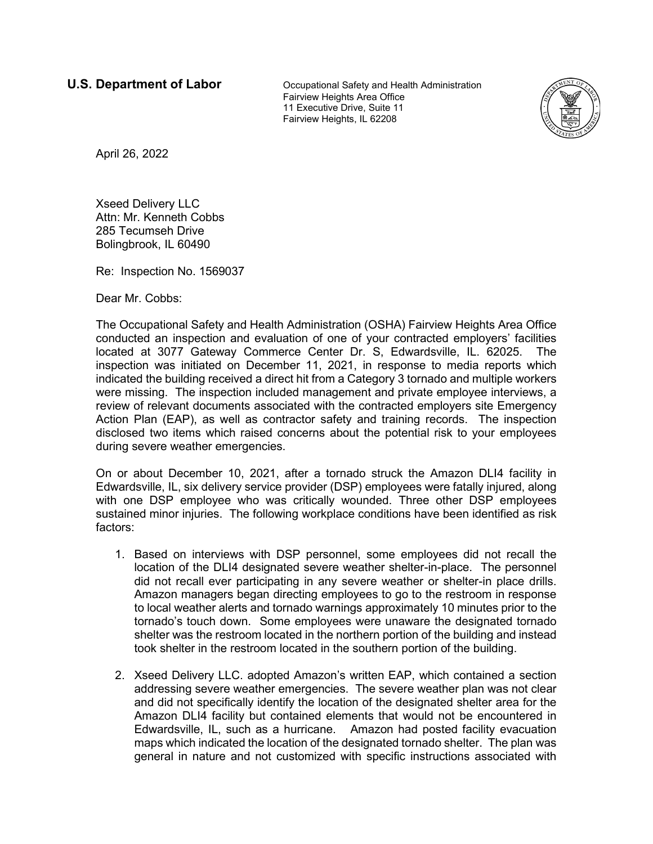**U.S. Department of Labor Cocupational Safety and Health Administration** Fairview Heights Area Office 11 Executive Drive, Suite 11 Fairview Heights, IL 62208



April 26, 2022

Xseed Delivery LLC Attn: Mr. Kenneth Cobbs 285 Tecumseh Drive Bolingbrook, IL 60490

Re: Inspection No. 1569037

Dear Mr. Cobbs:

The Occupational Safety and Health Administration (OSHA) Fairview Heights Area Office conducted an inspection and evaluation of one of your contracted employers' facilities located at 3077 Gateway Commerce Center Dr. S, Edwardsville, IL. 62025. The inspection was initiated on December 11, 2021, in response to media reports which indicated the building received a direct hit from a Category 3 tornado and multiple workers were missing. The inspection included management and private employee interviews, a review of relevant documents associated with the contracted employers site Emergency Action Plan (EAP), as well as contractor safety and training records. The inspection disclosed two items which raised concerns about the potential risk to your employees during severe weather emergencies.

On or about December 10, 2021, after a tornado struck the Amazon DLI4 facility in Edwardsville, IL, six delivery service provider (DSP) employees were fatally injured, along with one DSP employee who was critically wounded. Three other DSP employees sustained minor injuries. The following workplace conditions have been identified as risk factors:

- 1. Based on interviews with DSP personnel, some employees did not recall the location of the DLI4 designated severe weather shelter-in-place. The personnel did not recall ever participating in any severe weather or shelter-in place drills. Amazon managers began directing employees to go to the restroom in response to local weather alerts and tornado warnings approximately 10 minutes prior to the tornado's touch down. Some employees were unaware the designated tornado shelter was the restroom located in the northern portion of the building and instead took shelter in the restroom located in the southern portion of the building.
- 2. Xseed Delivery LLC. adopted Amazon's written EAP, which contained a section addressing severe weather emergencies. The severe weather plan was not clear and did not specifically identify the location of the designated shelter area for the Amazon DLI4 facility but contained elements that would not be encountered in Edwardsville, IL, such as a hurricane. Amazon had posted facility evacuation maps which indicated the location of the designated tornado shelter. The plan was general in nature and not customized with specific instructions associated with